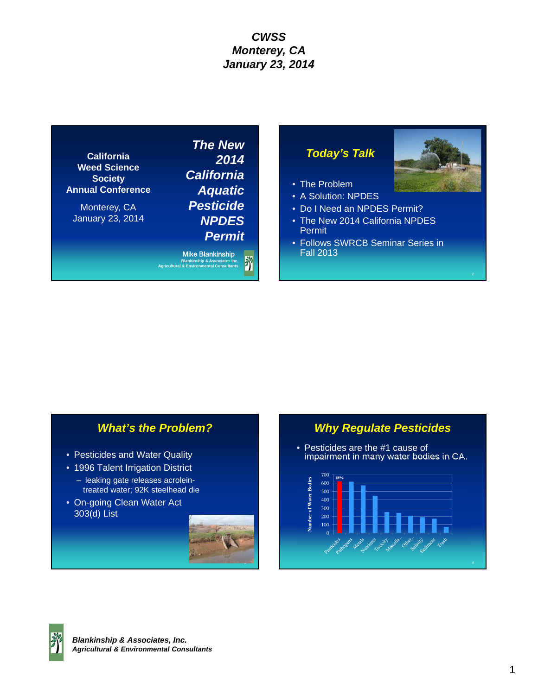**California Weed Science Society Annual Conference**

Monterey, CA January 23, 2014

*The New 2014 California Aquatic Pesticide NPDES Permit*

Mike Blankinship Ï **Blankinship & Associates Inc. Agricultural & Environmental Consultants**

### *Today's Talk*

- The Problem
- A Solution: NPDES
- Do I Need an NPDES Permit?
- The New 2014 California NPDES Permit
- Follows SWRCB Seminar Series in Fall 2013

### *What's the Problem?*

- Pesticides and Water Quality
- 1996 Talent Irrigation District
	- leaking gate releases acroleintreated water; 92K steelhead die
- On-going Clean Water Act 303(d) List



### *Why Regulate Pesticides*

• Pesticides are the #1 cause of impairment in many water bodies in CA.



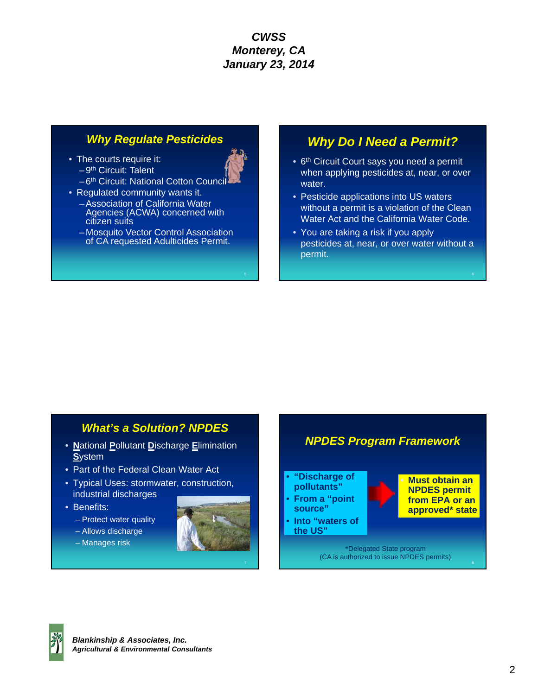- The courts require it:  $-9<sup>th</sup>$  Circuit: Talent
	- -6<sup>th</sup> Circuit: National Cotton Council
- Regulated community wants it. – Association of California Water Agencies (ACWA) concerned with citizen suits
	- Mosquito Vector Control Association of CA requested Adulticides Permit.

# *Why Regulate Pesticides Why Do I Need a Permit?*

- 6<sup>th</sup> Circuit Court says you need a permit when applying pesticides at, near, or over water.
- Pesticide applications into US waters without a permit is a violation of the Clean Water Act and the California Water Code.
- You are taking a risk if you apply pesticides at, near, or over water without a permit.

### *What's a Solution? NPDES*

- **N**ational **P**ollutant **D**ischarge **E**limination **S**ystem
- Part of the Federal Clean Water Act
- Typical Uses: stormwater, construction, industrial discharges
- Benefits:
	- Protect water quality
	- Allows discharge
	- Manages risk





*NPDES Program Framework*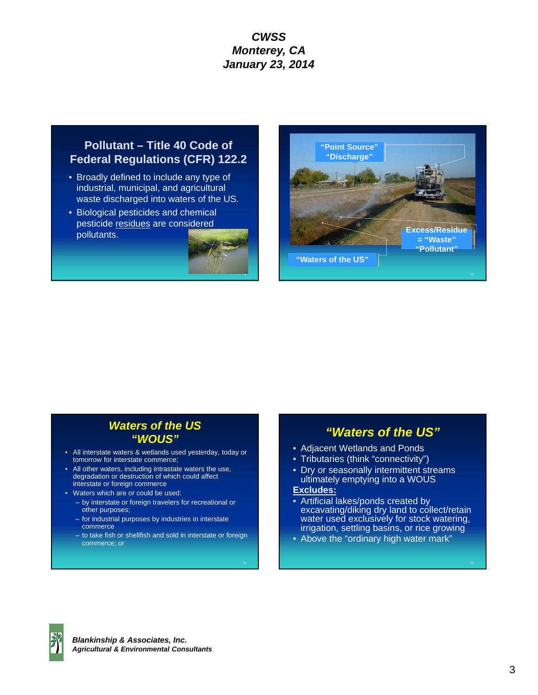### **Pollutant – Title 40 Code of Federal Regulations (CFR) 122.2**

- Broadly defined to include any type of industrial, municipal, and agricultural waste discharged into waters of the US.
- Biological pesticides and chemical pesticide residues are considered pollutants.





# *Waters of the US "WOUS"*

- All interstate waters & wetlands used yesterday, today or tomorrow for interstate commerce;
- All other waters, including intrastate waters the use, degradation or destruction of which could affect interstate or foreign commerce
- Waters which are or could be used:
	- by interstate or foreign travelers for recreational or other purposes;
	- for industrial purposes by industries in interstate commerce
	- to take fish or shellfish and sold in interstate or foreign commerce; or

### *"Waters of the US"*

- Adjacent Wetlands and Ponds
- Tributaries (think "connectivity")
- Dry or seasonally intermittent streams ultimately emptying into a WOUS

### **Excludes:**

- Artificial lakes/ponds created by excavating/diking dry land to collect/retain water used exclusively for stock watering, irrigation, settling basins, or rice growing
- Above the "ordinary high water mark"

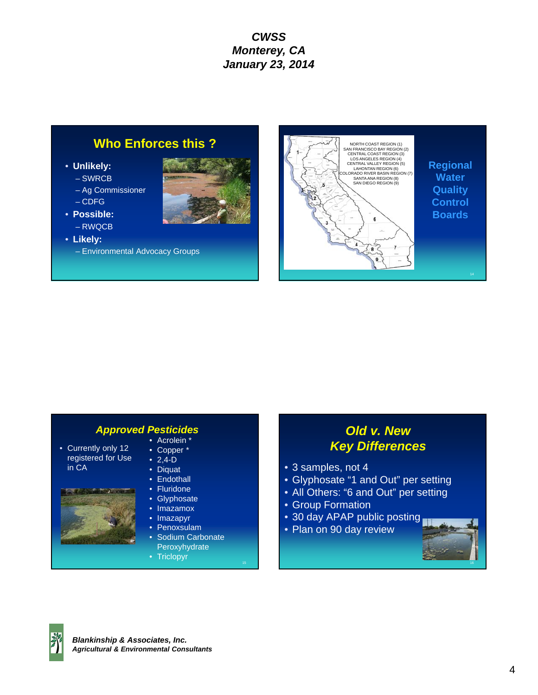# **Who Enforces this ?**

- **Unlikely:**
	- SWRCB
	- Ag Commissioner
	- CDFG
- **Possible:**
- RWQCB
- **Likely:**
	- Environmental Advocacy Groups





#### *Approved Pesticides* • Acrolein \*

- Currently only 12 registered for Use in CA
- Copper \*  $• 2,4-D$
- Diquat
- Endothall
- Fluridone
- Glyphosate
- Imazamox
- Imazapyr
- Penoxsulam
- Sodium Carbonate **Peroxyhydrate**
- Triclopyr

# *Old v. New Key Differences*

- 3 samples, not 4
- Glyphosate "1 and Out" per setting
- All Others: "6 and Out" per setting
- Group Formation
- 30 day APAP public posting
- Plan on 90 day review



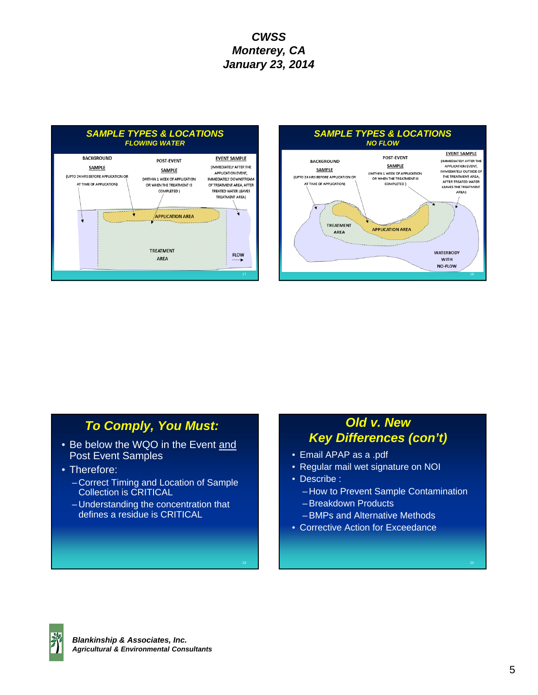



**WATERBODY** 

**WITH NO-FLOW** 

# *To Comply, You Must:*

- Be below the WQO in the Event and Post Event Samples
- Therefore:
	- Correct Timing and Location of Sample Collection is CRITICAL
	- Understanding the concentration that defines a residue is CRITICAL

# *Old v. New Key Differences (con't)*

- Email APAP as a .pdf
- Regular mail wet signature on NOI
- Describe :
	- How to Prevent Sample Contamination
	- Breakdown Products
	- BMPs and Alternative Methods
- Corrective Action for Exceedance

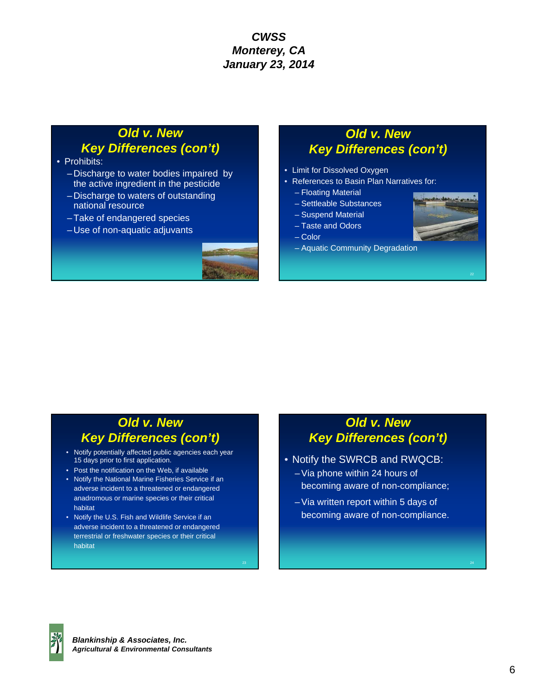# *Old v. New Key Differences (con't)*

- Prohibits:
	- Discharge to water bodies impaired by the active ingredient in the pesticide
	- Discharge to waters of outstanding national resource
	- Take of endangered species
	- Use of non-aquatic adjuvants



# *Old v. New Key Differences (con't)*

- Limit for Dissolved Oxygen
- References to Basin Plan Narratives for:
	- Floating Material
	- Settleable Substances
	- Suspend Material
	- Taste and Odors
	- Color
	- Aquatic Community Degradation



# *Old v. New Key Differences (con't)*

- Notify potentially affected public agencies each year 15 days prior to first application.
- Post the notification on the Web, if available
- Notify the National Marine Fisheries Service if an adverse incident to a threatened or endangered anadromous or marine species or their critical habitat
- Notify the U.S. Fish and Wildlife Service if an adverse incident to a threatened or endangered terrestrial or freshwater species or their critical habitat

# *Old v. New Key Differences (con't)*

- Notify the SWRCB and RWQCB:
	- Via phone within 24 hours of becoming aware of non-compliance;
	- Via written report within 5 days of becoming aware of non-compliance.



24